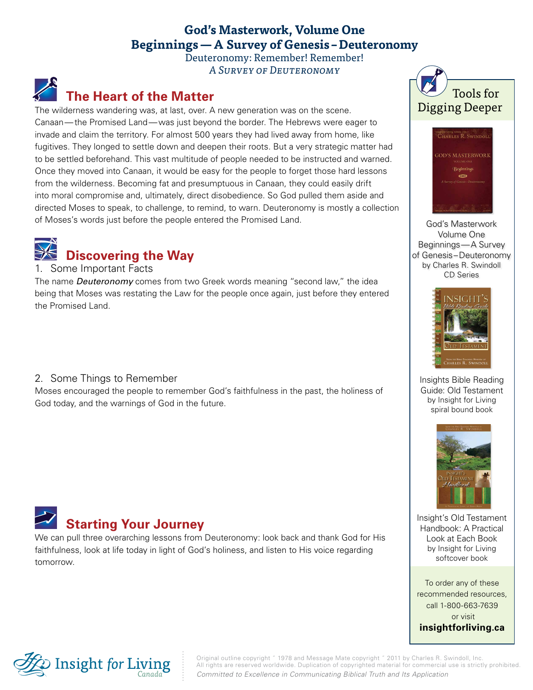### **God's Masterwork, Volume One Beginnings—A Survey of Genesis –Deuteronomy**

Deuteronomy: Remember! Remember! A Survey of Deuteronomy

## **The Heart of the Matter**

The wilderness wandering was, at last, over. A new generation was on the scene. Canaan—the Promised Land—was just beyond the border. The Hebrews were eager to invade and claim the territory. For almost 500 years they had lived away from home, like fugitives. They longed to settle down and deepen their roots. But a very strategic matter had to be settled beforehand. This vast multitude of people needed to be instructed and warned. Once they moved into Canaan, it would be easy for the people to forget those hard lessons from the wilderness. Becoming fat and presumptuous in Canaan, they could easily drift into moral compromise and, ultimately, direct disobedience. So God pulled them aside and directed Moses to speak, to challenge, to remind, to warn. Deuteronomy is mostly a collection of Moses's words just before the people entered the Promised Land.



#### Some Important Facts

The name *Deuteronomy* comes from two Greek words meaning "second law," the idea being that Moses was restating the Law for the people once again, just before they entered the Promised Land.

2. Some Things to Remember

Moses encouraged the people to remember God's faithfulness in the past, the holiness of God today, and the warnings of God in the future.

# **Starting Your Journey**

We can pull three overarching lessons from Deuteronomy: look back and thank God for His faithfulness, look at life today in light of God's holiness, and listen to His voice regarding tomorrow.





God's Masterwork Volume One Beginnings—A Survey of Genesis–Deuteronomy by Charles R. Swindoll CD Series



Insights Bible Reading Guide: Old Testament by Insight for Living spiral bound book



Insight's Old Testament Handbook: A Practical Look at Each Book by Insight for Living softcover book

To order any of these recommended resources, call 1-800-663-7639 or visit **[insightforliving.ca](http://www.insightforliving.ca/)**



Original outline copyright ˝ 1978 and Message Mate copyright ˝ 2011 by Charles R. Swindoll, Inc. All rights are reserved worldwide. Duplication of copyrighted material for commercial use is strictly prohibited. *Committed to Excellence in Communicating Biblical Truth and Its Application*